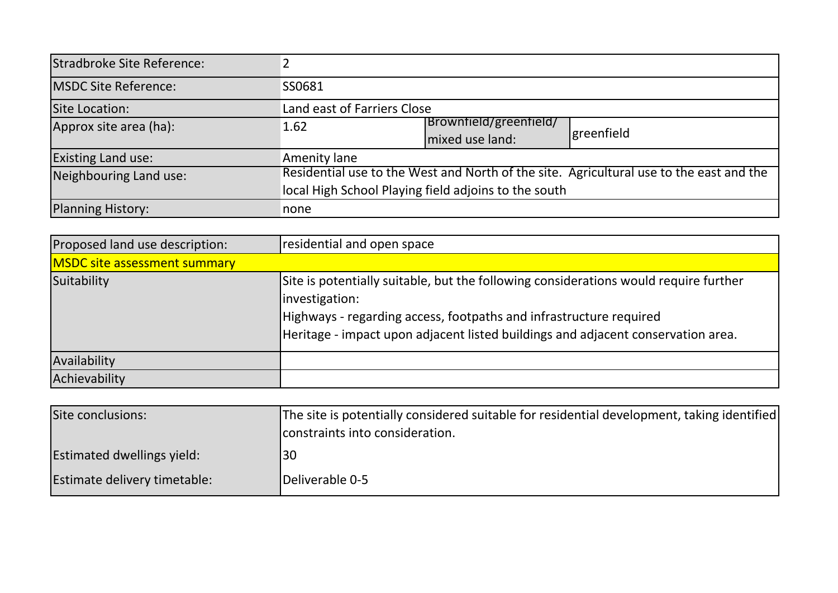| Stradbroke Site Reference:  |                                                                                         |                        |            |
|-----------------------------|-----------------------------------------------------------------------------------------|------------------------|------------|
| <b>MSDC Site Reference:</b> | SS0681                                                                                  |                        |            |
| Site Location:              | Land east of Farriers Close                                                             |                        |            |
| Approx site area (ha):      | 1.62                                                                                    | Brownfield/greenfield/ | greenfield |
|                             |                                                                                         | mixed use land:        |            |
| <b>Existing Land use:</b>   | Amenity lane                                                                            |                        |            |
| Neighbouring Land use:      | Residential use to the West and North of the site. Agricultural use to the east and the |                        |            |
|                             | local High School Playing field adjoins to the south                                    |                        |            |
| <b>Planning History:</b>    | none                                                                                    |                        |            |

| Proposed land use description:      | residential and open space                                                                                                                                                                                                                                       |
|-------------------------------------|------------------------------------------------------------------------------------------------------------------------------------------------------------------------------------------------------------------------------------------------------------------|
| <b>MSDC</b> site assessment summary |                                                                                                                                                                                                                                                                  |
| Suitability                         | Site is potentially suitable, but the following considerations would require further<br>investigation:<br>Highways - regarding access, footpaths and infrastructure required<br>Heritage - impact upon adjacent listed buildings and adjacent conservation area. |
| Availability                        |                                                                                                                                                                                                                                                                  |
| Achievability                       |                                                                                                                                                                                                                                                                  |

| Site conclusions:                 | The site is potentially considered suitable for residential development, taking identified<br>constraints into consideration. |
|-----------------------------------|-------------------------------------------------------------------------------------------------------------------------------|
| <b>Estimated dwellings yield:</b> | 30                                                                                                                            |
| Estimate delivery timetable:      | Deliverable 0-5                                                                                                               |